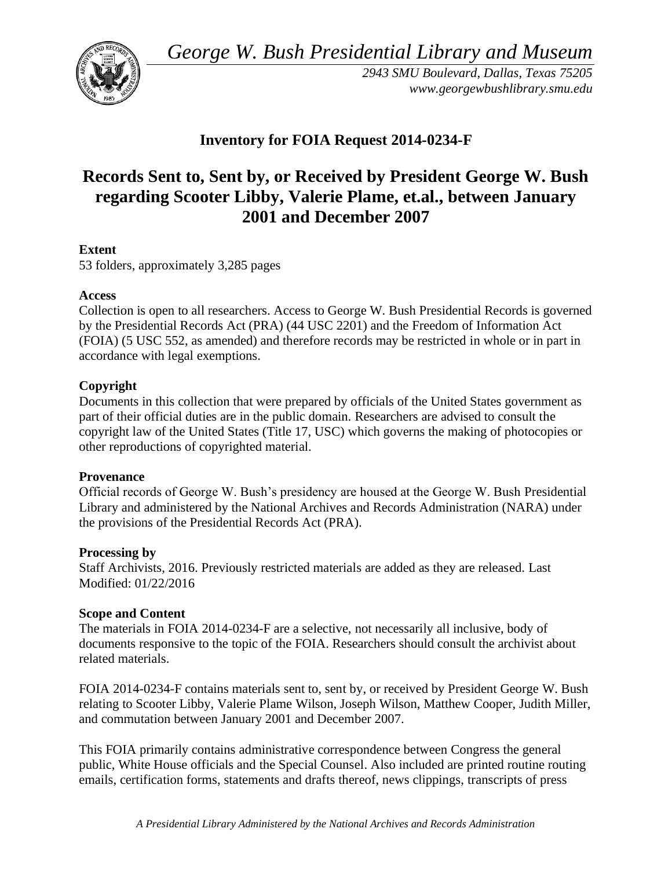*George W. Bush Presidential Library and Museum* 



*2943 SMU Boulevard, Dallas, Texas 75205 <www.georgewbushlibrary.smu.edu>* 

## **Inventory for FOIA Request 2014-0234-F**

# **Records Sent to, Sent by, or Received by President George W. Bush regarding Scooter Libby, Valerie Plame, et.al., between January 2001 and December 2007**

### **Extent**

53 folders, approximately 3,285 pages

#### **Access**

Collection is open to all researchers. Access to George W. Bush Presidential Records is governed by the Presidential Records Act (PRA) (44 USC 2201) and the Freedom of Information Act (FOIA) (5 USC 552, as amended) and therefore records may be restricted in whole or in part in accordance with legal exemptions.

#### **Copyright**

 Documents in this collection that were prepared by officials of the United States government as part of their official duties are in the public domain. Researchers are advised to consult the copyright law of the United States (Title 17, USC) which governs the making of photocopies or other reproductions of copyrighted material.

#### **Provenance**

Official records of George W. Bush's presidency are housed at the George W. Bush Presidential Library and administered by the National Archives and Records Administration (NARA) under the provisions of the Presidential Records Act (PRA).

#### **Processing by**

Staff Archivists, 2016. Previously restricted materials are added as they are released. Last Modified: 01/22/2016

#### **Scope and Content**

 documents responsive to the topic of the FOIA. Researchers should consult the archivist about The materials in FOIA 2014-0234-F are a selective, not necessarily all inclusive, body of related materials.

 FOIA 2014-0234-F contains materials sent to, sent by, or received by President George W. Bush relating to Scooter Libby, Valerie Plame Wilson, Joseph Wilson, Matthew Cooper, Judith Miller, and commutation between January 2001 and December 2007.

This FOIA primarily contains administrative correspondence between Congress the general public, White House officials and the Special Counsel. Also included are printed routine routing emails, certification forms, statements and drafts thereof, news clippings, transcripts of press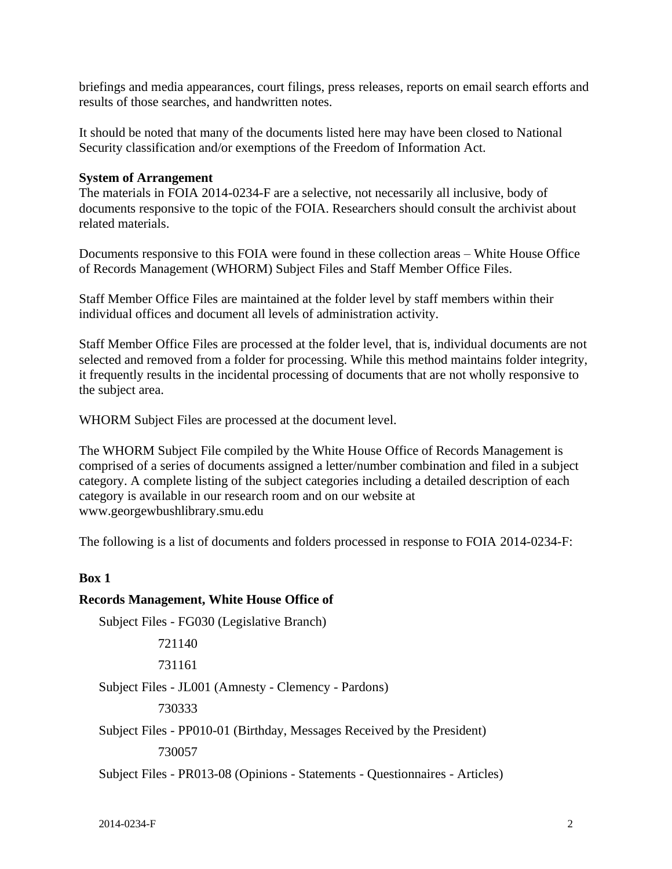briefings and media appearances, court filings, press releases, reports on email search efforts and results of those searches, and handwritten notes.

It should be noted that many of the documents listed here may have been closed to National Security classification and/or exemptions of the Freedom of Information Act.

#### **System of Arrangement**

 documents responsive to the topic of the FOIA. Researchers should consult the archivist about The materials in FOIA 2014-0234-F are a selective, not necessarily all inclusive, body of related materials.

Documents responsive to this FOIA were found in these collection areas – White House Office of Records Management (WHORM) Subject Files and Staff Member Office Files.

 Staff Member Office Files are maintained at the folder level by staff members within their individual offices and document all levels of administration activity.

Staff Member Office Files are processed at the folder level, that is, individual documents are not selected and removed from a folder for processing. While this method maintains folder integrity, it frequently results in the incidental processing of documents that are not wholly responsive to the subject area.

WHORM Subject Files are processed at the document level.

 The WHORM Subject File compiled by the White House Office of Records Management is comprised of a series of documents assigned a letter/number combination and filed in a subject category. A complete listing of the subject categories including a detailed description of each category is available in our research room and on our website at <www.georgewbushlibrary.smu.edu>

The following is a list of documents and folders processed in response to FOIA 2014-0234-F:

#### **Box 1**

#### **Records Management, White House Office of**

Subject Files - FG030 (Legislative Branch)

721140

731161

Subject Files - JL001 (Amnesty - Clemency - Pardons)

730333

Subject Files - PP010-01 (Birthday, Messages Received by the President)

730057

Subject Files - PR013-08 (Opinions - Statements - Questionnaires - Articles)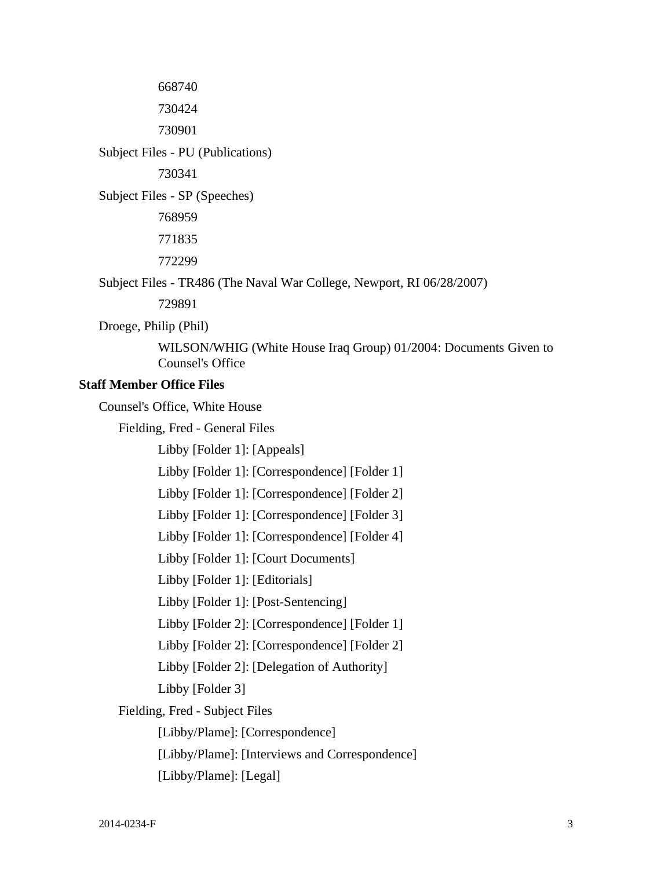668740

730424

730901

Subject Files - PU (Publications)

730341

Subject Files - SP (Speeches)

768959 771835 772299

Subject Files - TR486 (The Naval War College, Newport, RI 06/28/2007)

729891

Droege, Philip (Phil)

WILSON/WHIG (White House Iraq Group) 01/2004: Documents Given to Counsel's Office

#### **Staff Member Office Files**

Counsel's Office, White House

Fielding, Fred - General Files

Libby [Folder 1]: [Appeals]

Libby [Folder 1]: [Correspondence] [Folder 1]

Libby [Folder 1]: [Correspondence] [Folder 2]

Libby [Folder 1]: [Correspondence] [Folder 3]

Libby [Folder 1]: [Correspondence] [Folder 4]

Libby [Folder 1]: [Court Documents]

Libby [Folder 1]: [Editorials]

Libby [Folder 1]: [Post-Sentencing]

Libby [Folder 2]: [Correspondence] [Folder 1]

Libby [Folder 2]: [Correspondence] [Folder 2]

Libby [Folder 2]: [Delegation of Authority]

Libby [Folder 3]

Fielding, Fred - Subject Files

[Libby/Plame]: [Correspondence]

[Libby/Plame]: [Interviews and Correspondence]

[Libby/Plame]: [Legal]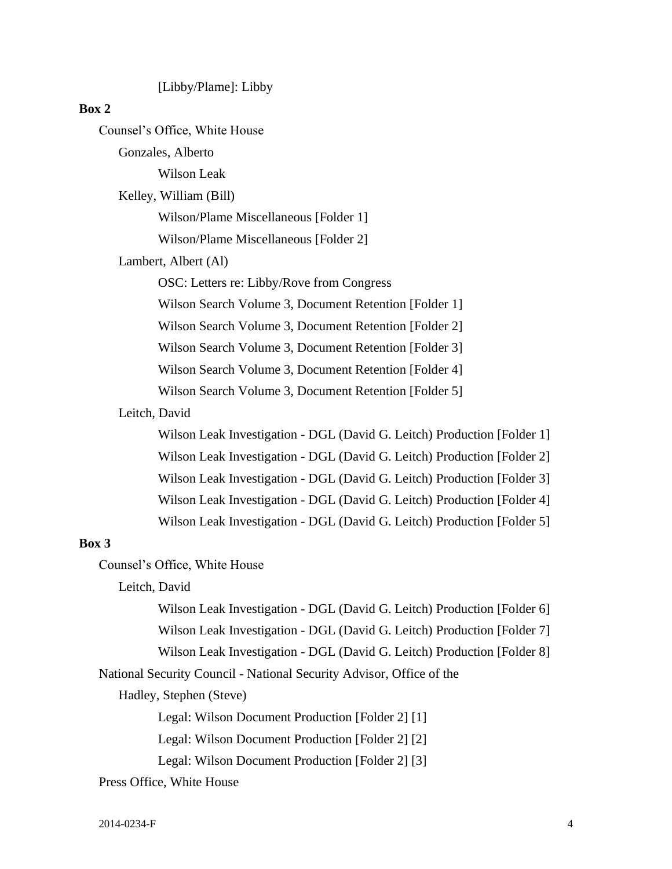[Libby/Plame]: Libby

#### **Box 2**

Counsel's Office, White House

Gonzales, Alberto

Wilson Leak

Kelley, William (Bill)

Wilson/Plame Miscellaneous [Folder 1]

Wilson/Plame Miscellaneous [Folder 2]

#### Lambert, Albert (Al)

OSC: Letters re: Libby/Rove from Congress

Wilson Search Volume 3, Document Retention [Folder 1]

Wilson Search Volume 3, Document Retention [Folder 2]

Wilson Search Volume 3, Document Retention [Folder 3]

Wilson Search Volume 3, Document Retention [Folder 4]

Wilson Search Volume 3, Document Retention [Folder 5]

#### Leitch, David

Wilson Leak Investigation - DGL (David G. Leitch) Production [Folder 1] Wilson Leak Investigation - DGL (David G. Leitch) Production [Folder 2] Wilson Leak Investigation - DGL (David G. Leitch) Production [Folder 3] Wilson Leak Investigation - DGL (David G. Leitch) Production [Folder 4] Wilson Leak Investigation - DGL (David G. Leitch) Production [Folder 5]

#### **Box 3**

Counsel's Office, White House

Leitch, David

Wilson Leak Investigation - DGL (David G. Leitch) Production [Folder 6] Wilson Leak Investigation - DGL (David G. Leitch) Production [Folder 7]

Wilson Leak Investigation - DGL (David G. Leitch) Production [Folder 8]

National Security Council - National Security Advisor, Office of the

Hadley, Stephen (Steve)

Legal: Wilson Document Production [Folder 2] [1]

Legal: Wilson Document Production [Folder 2] [2]

Legal: Wilson Document Production [Folder 2] [3]

Press Office, White House